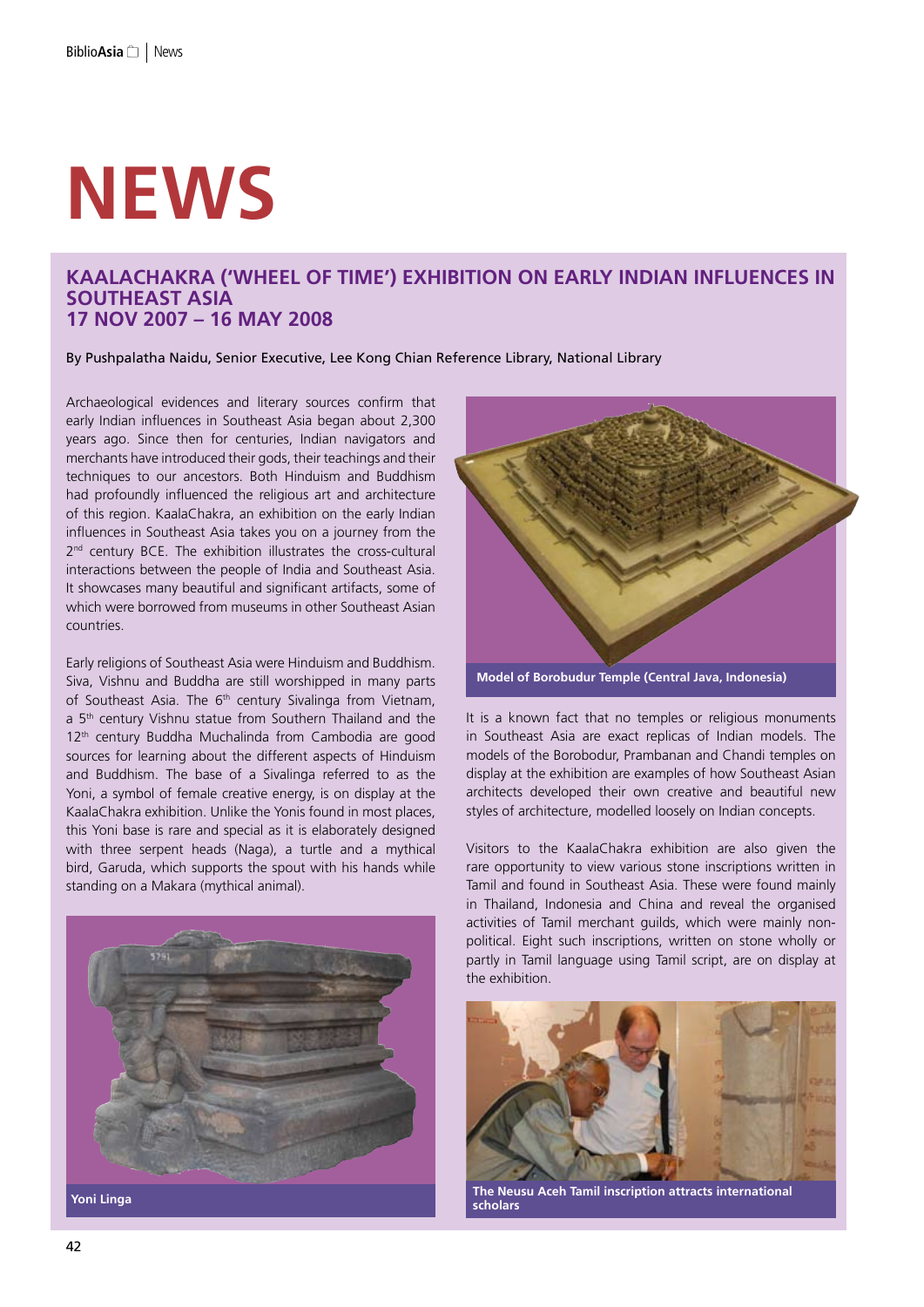# **NEws**

## **KaalaChakra ('Wheel of Time') Exhibition on Early Indian Influences in Southeast Asia 17 Nov 2007 – 16 May 2008**

By Pushpalatha Naidu, Senior Executive, Lee Kong Chian Reference Library, National Library

Archaeological evidences and literary sources confirm that early Indian influences in Southeast Asia began about 2,300 years ago. Since then for centuries, Indian navigators and merchants have introduced their gods, their teachings and their techniques to our ancestors. Both Hinduism and Buddhism had profoundly influenced the religious art and architecture of this region. KaalaChakra, an exhibition on the early Indian influences in Southeast Asia takes you on a journey from the 2<sup>nd</sup> century BCE. The exhibition illustrates the cross-cultural interactions between the people of India and Southeast Asia. It showcases many beautiful and significant artifacts, some of which were borrowed from museums in other Southeast Asian countries.

Early religions of Southeast Asia were Hinduism and Buddhism. Siva, Vishnu and Buddha are still worshipped in many parts of Southeast Asia. The 6<sup>th</sup> century Sivalinga from Vietnam, a 5<sup>th</sup> century Vishnu statue from Southern Thailand and the 12<sup>th</sup> century Buddha Muchalinda from Cambodia are good sources for learning about the different aspects of Hinduism and Buddhism. The base of a Sivalinga referred to as the Yoni, a symbol of female creative energy, is on display at the KaalaChakra exhibition. Unlike the Yonis found in most places, this Yoni base is rare and special as it is elaborately designed with three serpent heads (Naga), a turtle and a mythical bird, Garuda, which supports the spout with his hands while standing on a Makara (mythical animal).



**Model of Borobudur Temple (Central Java, Indonesia)** 

It is a known fact that no temples or religious monuments in Southeast Asia are exact replicas of Indian models. The models of the Borobodur, Prambanan and Chandi temples on display at the exhibition are examples of how Southeast Asian architects developed their own creative and beautiful new styles of architecture, modelled loosely on Indian concepts.

Visitors to the KaalaChakra exhibition are also given the rare opportunity to view various stone inscriptions written in Tamil and found in Southeast Asia. These were found mainly in Thailand, Indonesia and China and reveal the organised activities of Tamil merchant guilds, which were mainly nonpolitical. Eight such inscriptions, written on stone wholly or partly in Tamil language using Tamil script, are on display at the exhibition.



**The Neusu Aceh Tamil inscription attracts international scholars**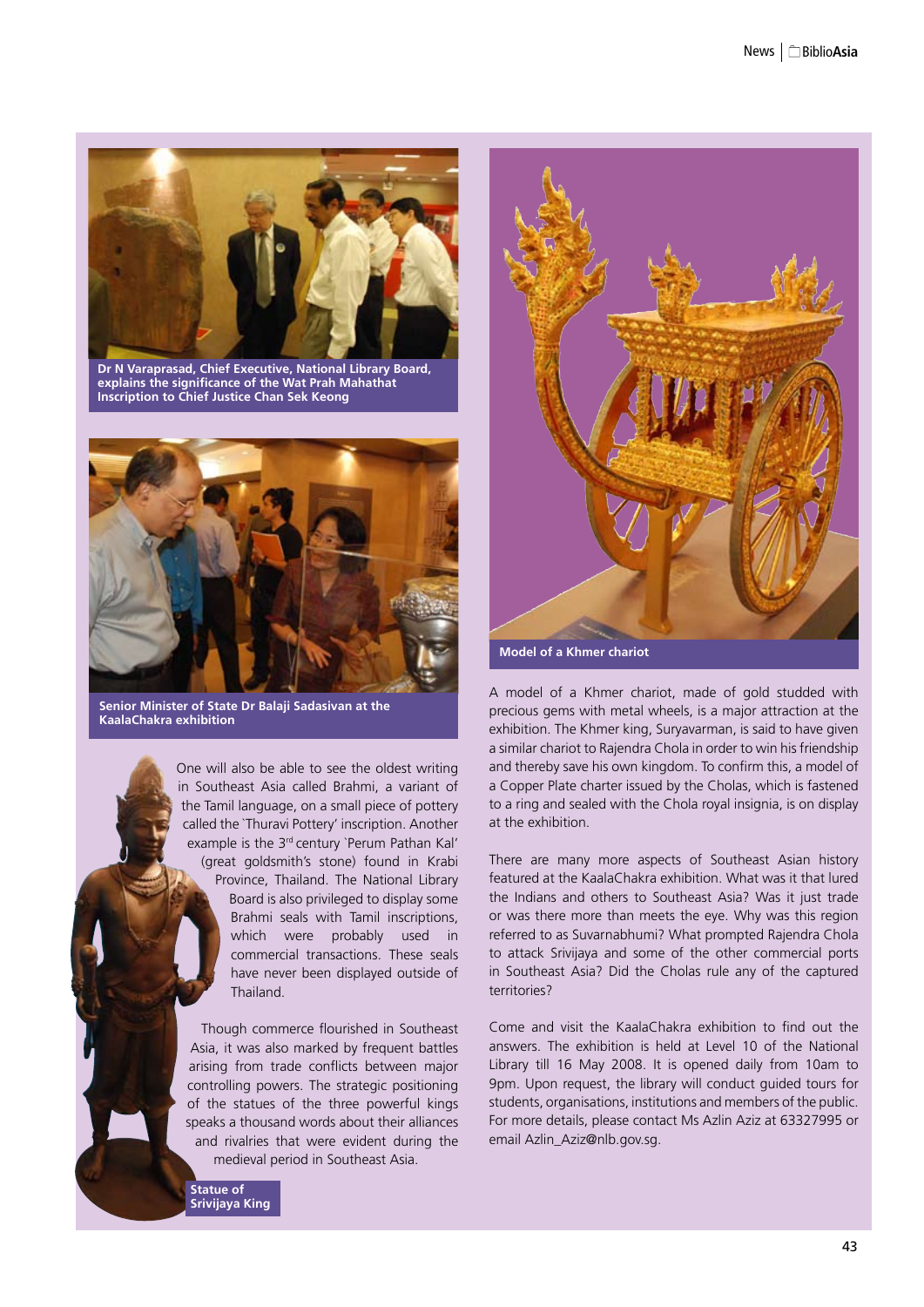

**Dr N Varaprasad, Chief Executive, National Library Board, explains the significance of the Wat Prah Mahathat Inscription to Chief Justice Chan Sek Keong**



**Senior Minister of State Dr Balaji Sadasivan at the KaalaChakra exhibition**

One will also be able to see the oldest writing in Southeast Asia called Brahmi, a variant of the Tamil language, on a small piece of pottery called the `Thuravi Pottery' inscription. Another example is the 3<sup>rd</sup> century `Perum Pathan Kal' (great goldsmith's stone) found in Krabi Province, Thailand. The National Library Board is also privileged to display some Brahmi seals with Tamil inscriptions, which were probably used in commercial transactions. These seals have never been displayed outside of Thailand.

Though commerce flourished in Southeast Asia, it was also marked by frequent battles arising from trade conflicts between major controlling powers. The strategic positioning of the statues of the three powerful kings speaks a thousand words about their alliances and rivalries that were evident during the medieval period in Southeast Asia.





A model of a Khmer chariot, made of gold studded with precious gems with metal wheels, is a major attraction at the exhibition. The Khmer king, Suryavarman, is said to have given a similar chariot to Rajendra Chola in order to win his friendship and thereby save his own kingdom. To confirm this, a model of a Copper Plate charter issued by the Cholas, which is fastened to a ring and sealed with the Chola royal insignia, is on display at the exhibition.

There are many more aspects of Southeast Asian history featured at the KaalaChakra exhibition. What was it that lured the Indians and others to Southeast Asia? Was it just trade or was there more than meets the eye. Why was this region referred to as Suvarnabhumi? What prompted Rajendra Chola to attack Srivijaya and some of the other commercial ports in Southeast Asia? Did the Cholas rule any of the captured territories?

Come and visit the KaalaChakra exhibition to find out the answers. The exhibition is held at Level 10 of the National Library till 16 May 2008. It is opened daily from 10am to 9pm. Upon request, the library will conduct guided tours for students, organisations, institutions and members of the public. For more details, please contact Ms Azlin Aziz at 63327995 or email Azlin\_Aziz@nlb.gov.sg.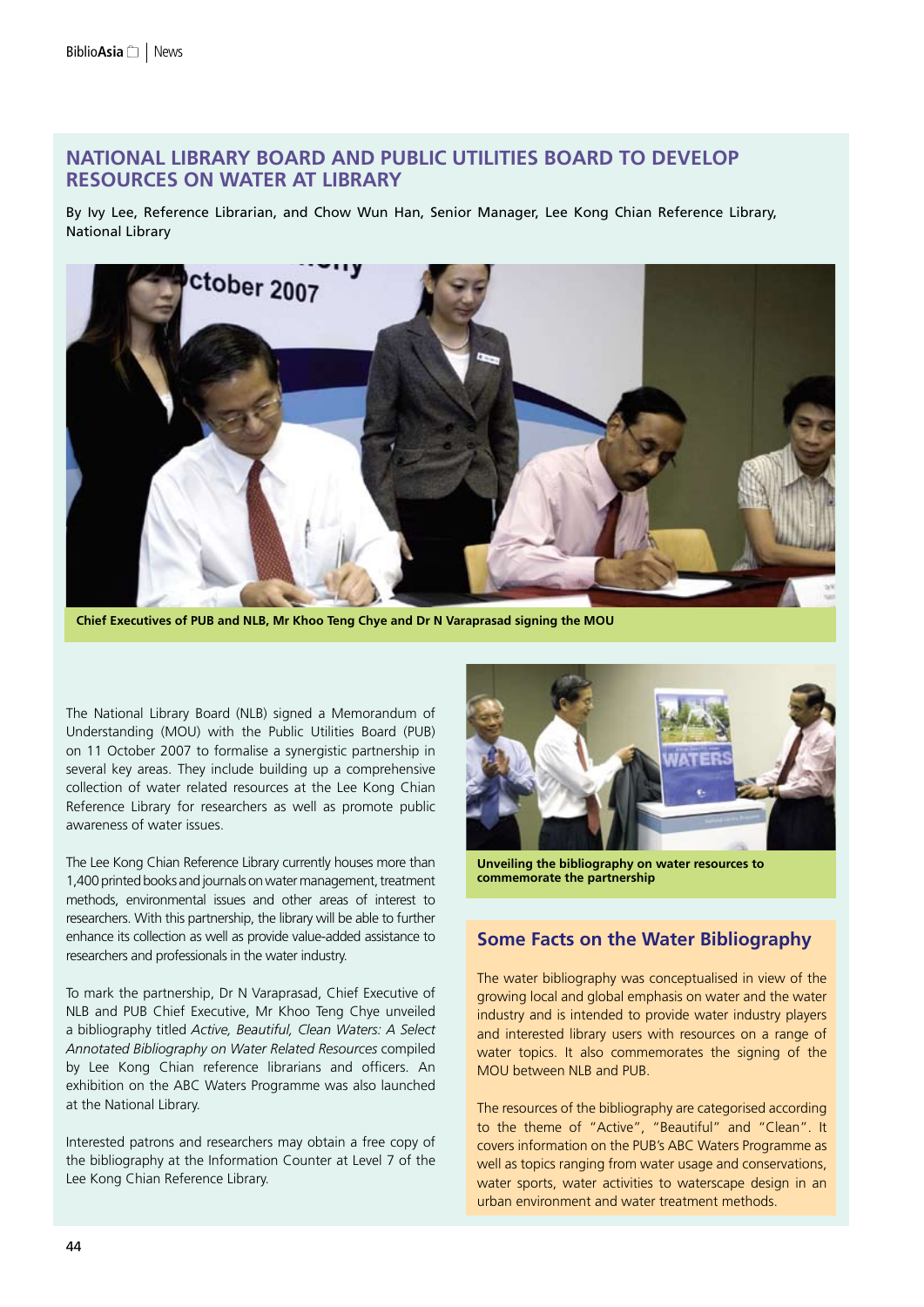# **National Library Board and Public Utilities Board to Develop Resources on Water at Library**

By Ivy Lee, Reference Librarian, and Chow Wun Han, Senior Manager, Lee Kong Chian Reference Library, National Library



**Chief Executives of PUB and NLB, Mr Khoo Teng Chye and Dr N Varaprasad signing the MOU**

The National Library Board (NLB) signed a Memorandum of Understanding (MOU) with the Public Utilities Board (PUB) on 11 October 2007 to formalise a synergistic partnership in several key areas. They include building up a comprehensive collection of water related resources at the Lee Kong Chian Reference Library for researchers as well as promote public awareness of water issues.

The Lee Kong Chian Reference Library currently houses more than 1,400 printed books and journals on water management, treatment methods, environmental issues and other areas of interest to researchers. With this partnership, the library will be able to further enhance its collection as well as provide value-added assistance to researchers and professionals in the water industry.

To mark the partnership, Dr N Varaprasad, Chief Executive of NLB and PUB Chief Executive, Mr Khoo Teng Chye unveiled a bibliography titled *Active, Beautiful, Clean Waters: A Select Annotated Bibliography on Water Related Resources* compiled by Lee Kong Chian reference librarians and officers. An exhibition on the ABC Waters Programme was also launched at the National Library.

Interested patrons and researchers may obtain a free copy of the bibliography at the Information Counter at Level 7 of the Lee Kong Chian Reference Library.



**Unveiling the bibliography on water resources to commemorate the partnership**

# **Some Facts on the Water Bibliography**

The water bibliography was conceptualised in view of the growing local and global emphasis on water and the water industry and is intended to provide water industry players and interested library users with resources on a range of water topics. It also commemorates the signing of the MOU between NLB and PUB.

The resources of the bibliography are categorised according to the theme of "Active", "Beautiful" and "Clean". It covers information on the PUB's ABC Waters Programme as well as topics ranging from water usage and conservations, water sports, water activities to waterscape design in an urban environment and water treatment methods.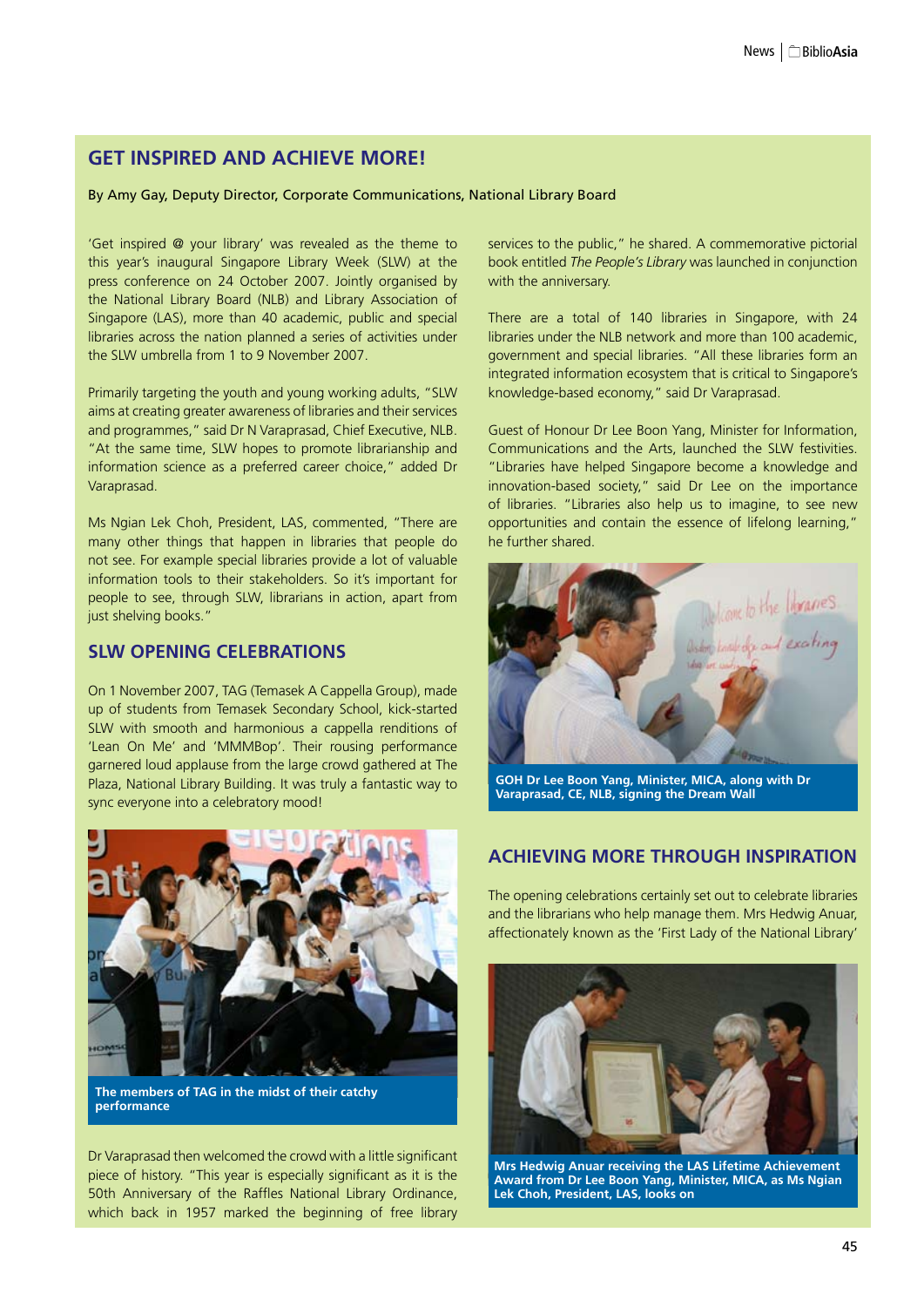# **GET INSPIRED AND ACHIEVE MORE!**

By Amy Gay, Deputy Director, Corporate Communications, National Library Board

'Get inspired @ your library' was revealed as the theme to this year's inaugural Singapore Library Week (SLW) at the press conference on 24 October 2007. Jointly organised by the National Library Board (NLB) and Library Association of Singapore (LAS), more than 40 academic, public and special libraries across the nation planned a series of activities under the SLW umbrella from 1 to 9 November 2007.

Primarily targeting the youth and young working adults, "SLW aims at creating greater awareness of libraries and their services and programmes," said Dr N Varaprasad, Chief Executive, NLB. "At the same time, SLW hopes to promote librarianship and information science as a preferred career choice," added Dr Varaprasad.

Ms Ngian Lek Choh, President, LAS, commented, "There are many other things that happen in libraries that people do not see. For example special libraries provide a lot of valuable information tools to their stakeholders. So it's important for people to see, through SLW, librarians in action, apart from just shelving books."

### **SLW Opening Celebrations**

On 1 November 2007, TAG (Temasek A Cappella Group), made up of students from Temasek Secondary School, kick-started SLW with smooth and harmonious a cappella renditions of 'Lean On Me' and 'MMMBop'. Their rousing performance garnered loud applause from the large crowd gathered at The Plaza, National Library Building. It was truly a fantastic way to sync everyone into a celebratory mood!



**The members of TAG in the midst of their catchy performance**

Dr Varaprasad then welcomed the crowd with a little significant piece of history. "This year is especially significant as it is the 50th Anniversary of the Raffles National Library Ordinance, which back in 1957 marked the beginning of free library services to the public," he shared. A commemorative pictorial book entitled *The People's Library* was launched in conjunction with the anniversary.

There are a total of 140 libraries in Singapore, with 24 libraries under the NLB network and more than 100 academic, government and special libraries. "All these libraries form an integrated information ecosystem that is critical to Singapore's knowledge-based economy," said Dr Varaprasad.

Guest of Honour Dr Lee Boon Yang, Minister for Information, Communications and the Arts, launched the SLW festivities. "Libraries have helped Singapore become a knowledge and innovation-based society," said Dr Lee on the importance of libraries. "Libraries also help us to imagine, to see new opportunities and contain the essence of lifelong learning," he further shared.



**Varaprasad, CE, NLB, signing the Dream Wall**

## **Achieving More through Inspiration**

The opening celebrations certainly set out to celebrate libraries and the librarians who help manage them. Mrs Hedwig Anuar, affectionately known as the 'First Lady of the National Library'



**Mrs Hedwig Anuar receiving the LAS Lifetime Achievement Award from Dr Lee Boon Yang, Minister, MICA, as Ms Ngian Lek Choh, President, LAS, looks on**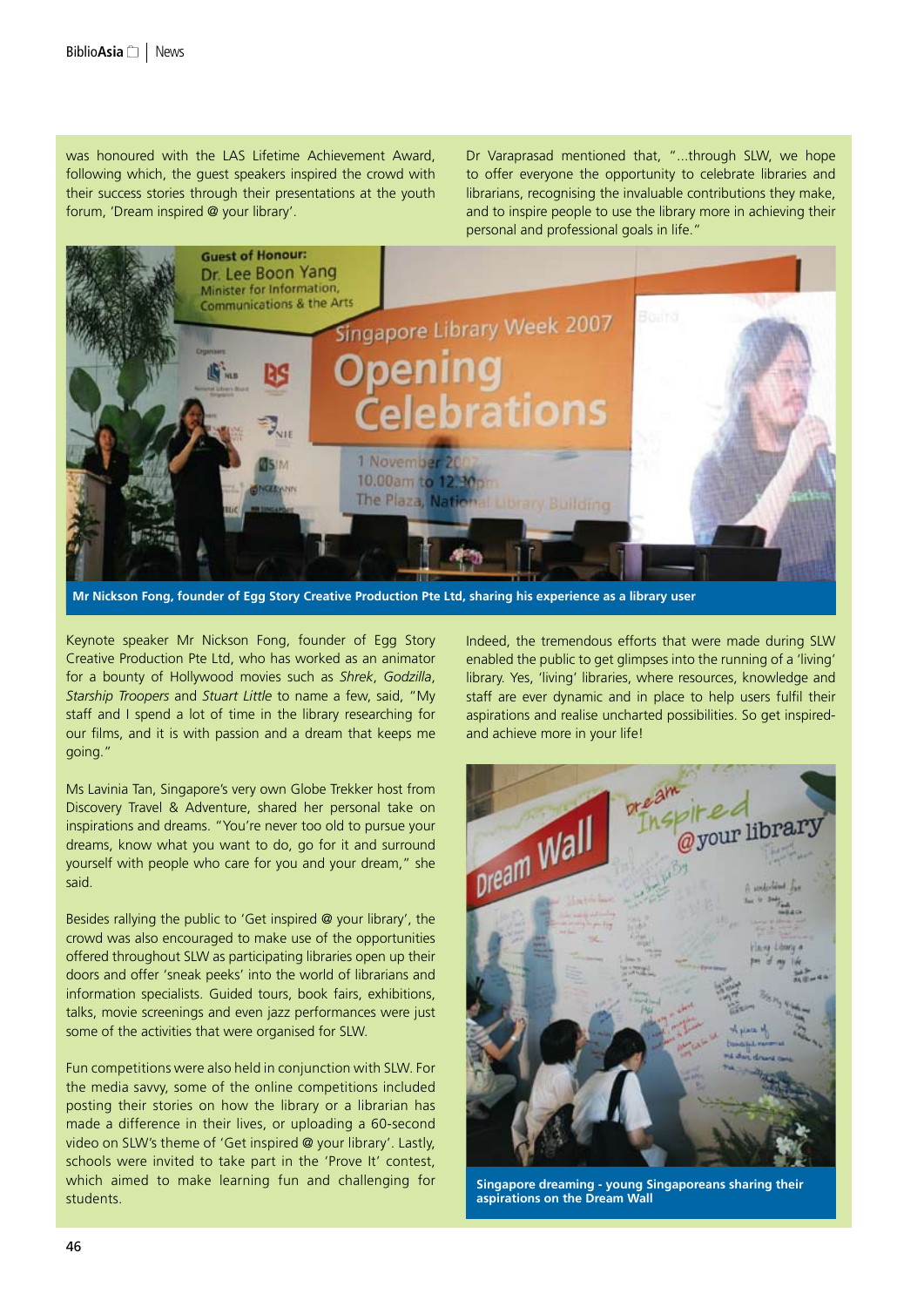was honoured with the LAS Lifetime Achievement Award, following which, the guest speakers inspired the crowd with their success stories through their presentations at the youth forum, 'Dream inspired @ your library'.

Dr Varaprasad mentioned that, "...through SLW, we hope to offer everyone the opportunity to celebrate libraries and librarians, recognising the invaluable contributions they make, and to inspire people to use the library more in achieving their personal and professional goals in life."



**Mr Nickson Fong, founder of Egg Story Creative Production Pte Ltd, sharing his experience as a library user**

Keynote speaker Mr Nickson Fong, founder of Egg Story Creative Production Pte Ltd, who has worked as an animator for a bounty of Hollywood movies such as *Shrek*, *Godzilla*, *Starship Troopers* and *Stuart Little* to name a few, said, "My staff and I spend a lot of time in the library researching for our films, and it is with passion and a dream that keeps me going."

Ms Lavinia Tan, Singapore's very own Globe Trekker host from Discovery Travel & Adventure, shared her personal take on inspirations and dreams. "You're never too old to pursue your dreams, know what you want to do, go for it and surround yourself with people who care for you and your dream," she said.

Besides rallying the public to 'Get inspired @ your library', the crowd was also encouraged to make use of the opportunities offered throughout SLW as participating libraries open up their doors and offer 'sneak peeks' into the world of librarians and information specialists. Guided tours, book fairs, exhibitions, talks, movie screenings and even jazz performances were just some of the activities that were organised for SLW.

Fun competitions were also held in conjunction with SLW. For the media savvy, some of the online competitions included posting their stories on how the library or a librarian has made a difference in their lives, or uploading a 60-second video on SLW's theme of 'Get inspired @ your library'. Lastly, schools were invited to take part in the 'Prove It' contest, which aimed to make learning fun and challenging for students.

Indeed, the tremendous efforts that were made during SLW enabled the public to get glimpses into the running of a 'living' library. Yes, 'living' libraries, where resources, knowledge and staff are ever dynamic and in place to help users fulfil their aspirations and realise uncharted possibilities. So get inspiredand achieve more in your life!



**Singapore dreaming - young Singaporeans sharing their aspirations on the Dream Wall**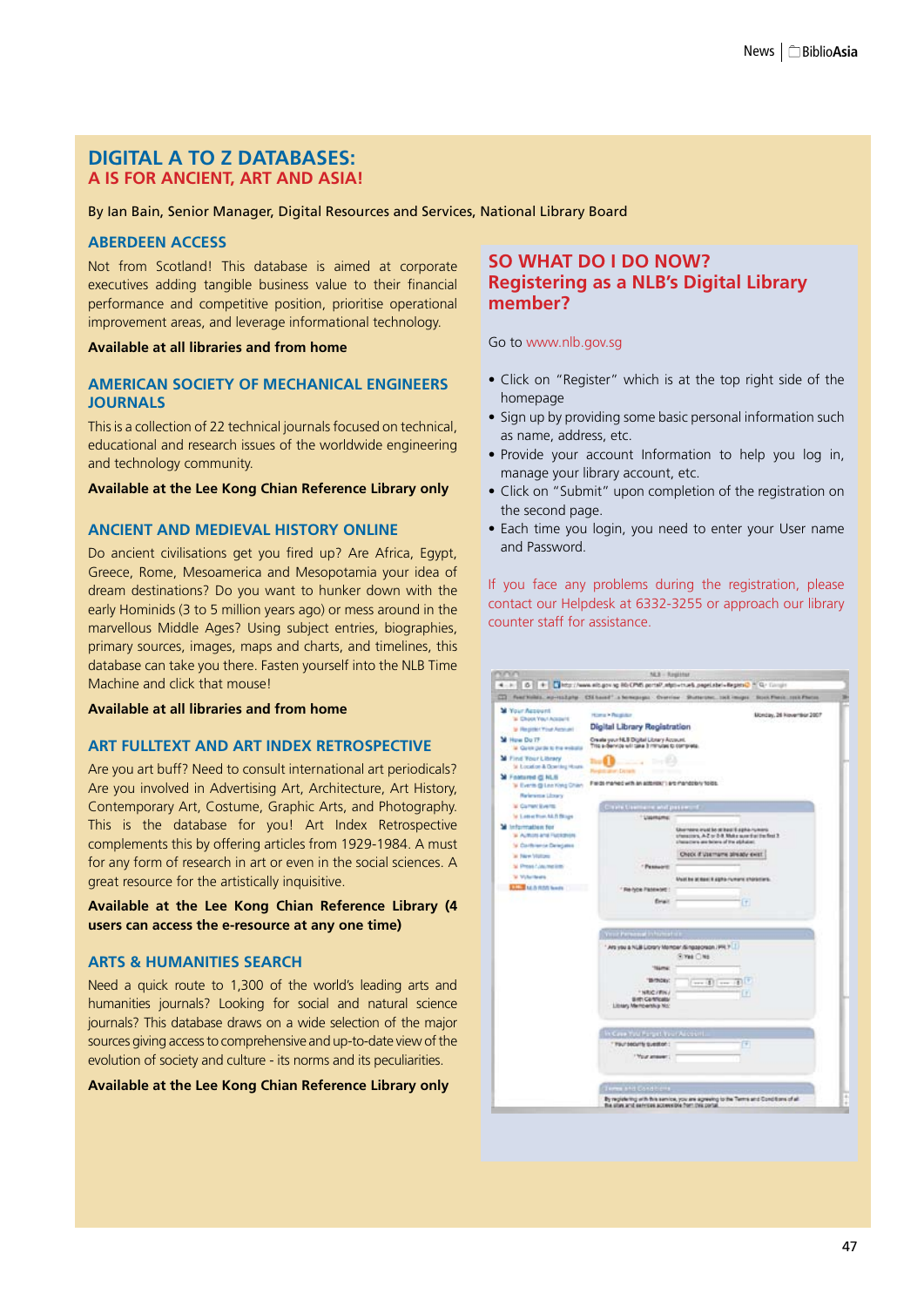## **Digital A to Z Databases: A is for Ancient, Art and Asia!**

By Ian Bain, Senior Manager, Digital Resources and Services, National Library Board

#### **Aberdeen Access**

Not from Scotland! This database is aimed at corporate executives adding tangible business value to their financial performance and competitive position, prioritise operational improvement areas, and leverage informational technology.

**Available at all libraries and from home**

#### **American Society of Mechanical Engineers Journals**

This is a collection of 22 technical journals focused on technical, educational and research issues of the worldwide engineering and technology community.

#### **Available at the Lee Kong Chian Reference Library only**

#### **Ancient and Medieval History Online**

Do ancient civilisations get you fired up? Are Africa, Egypt, Greece, Rome, Mesoamerica and Mesopotamia your idea of dream destinations? Do you want to hunker down with the early Hominids (3 to 5 million years ago) or mess around in the marvellous Middle Ages? Using subject entries, biographies, primary sources, images, maps and charts, and timelines, this database can take you there. Fasten yourself into the NLB Time Machine and click that mouse!

**Available at all libraries and from home**

#### **Art FullText and Art Index Retrospective**

Are you art buff? Need to consult international art periodicals? Are you involved in Advertising Art, Architecture, Art History, Contemporary Art, Costume, Graphic Arts, and Photography. This is the database for you! Art Index Retrospective complements this by offering articles from 1929-1984. A must for any form of research in art or even in the social sciences. A great resource for the artistically inquisitive.

**Available at the Lee Kong Chian Reference Library (4 users can access the e-resource at any one time)**

#### **Arts & Humanities Search**

Need a quick route to 1,300 of the world's leading arts and humanities journals? Looking for social and natural science journals? This database draws on a wide selection of the major sources giving access to comprehensive and up-to-date view of the evolution of society and culture - its norms and its peculiarities.

#### **Available at the Lee Kong Chian Reference Library only**

## **So what do I do now? Registering as a NLB's Digital Library member?**

#### Go to www.nlb.gov.sg

- • Click on "Register" which is at the top right side of the homepage
- Sign up by providing some basic personal information such as name, address, etc.
- • Provide your account Information to help you log in, manage your library account, etc.
- Click on "Submit" upon completion of the registration on the second page.
- Each time you login, you need to enter your User name and Password.

If you face any problems during the registration, please contact our Helpdesk at 6332-3255 or approach our library counter staff for assistance.

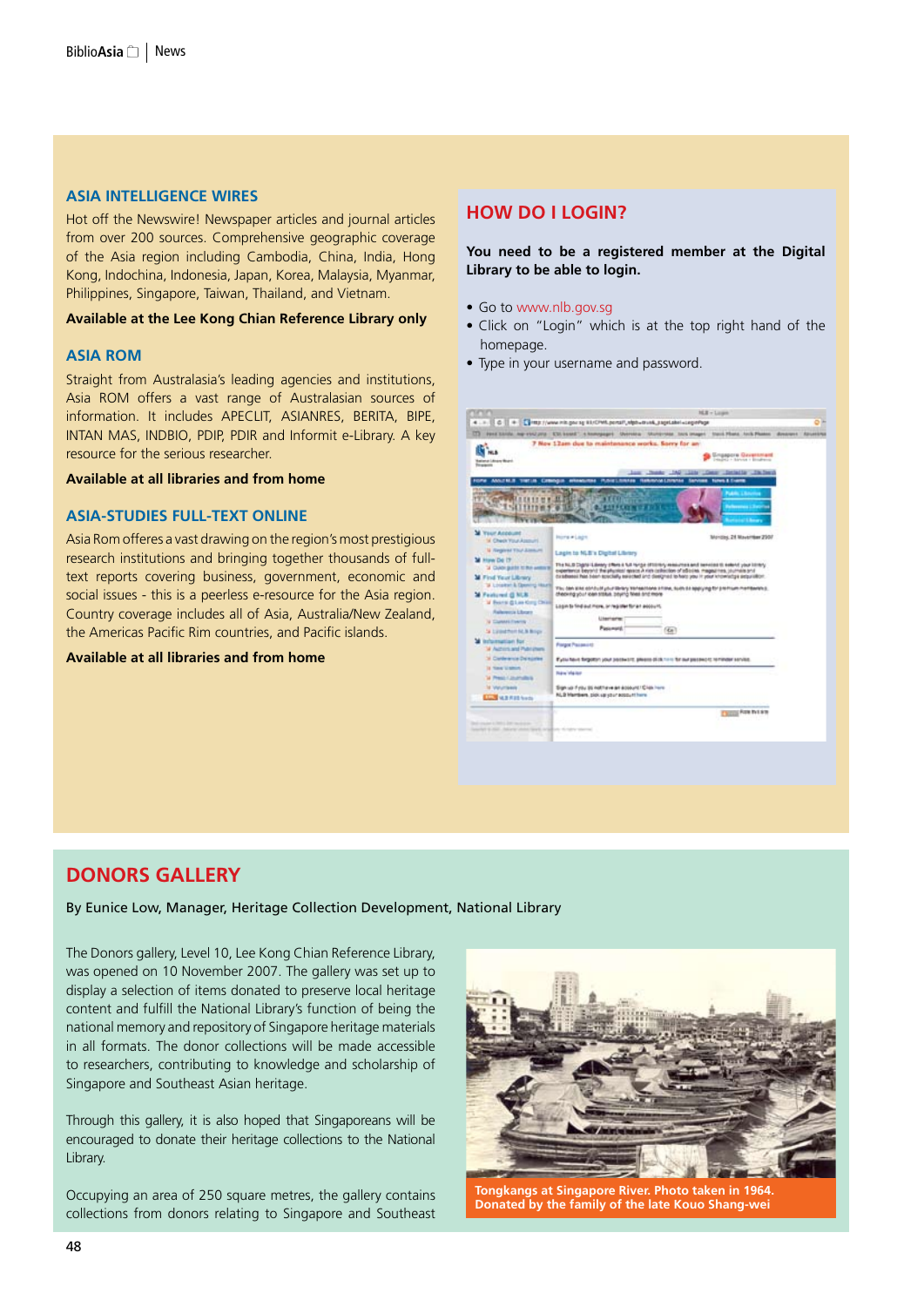### **Asia Intelligence Wires**

Hot off the Newswire! Newspaper articles and journal articles from over 200 sources. Comprehensive geographic coverage of the Asia region including Cambodia, China, India, Hong Kong, Indochina, Indonesia, Japan, Korea, Malaysia, Myanmar, Philippines, Singapore, Taiwan, Thailand, and Vietnam.

#### **Available at the Lee Kong Chian Reference Library only**

#### **Asia ROM**

Straight from Australasia's leading agencies and institutions, Asia ROM offers a vast range of Australasian sources of information. It includes APECLIT, ASIANRES, BERITA, BIPE, INTAN MAS, INDBIO, PDIP, PDIR and Informit e-Library. A key resource for the serious researcher.

#### **Available at all libraries and from home**

#### **Asia-Studies Full-text Online**

Asia Rom offeres a vast drawing on the region's most prestigious research institutions and bringing together thousands of fulltext reports covering business, government, economic and social issues - this is a peerless e-resource for the Asia region. Country coverage includes all of Asia, Australia/New Zealand, the Americas Pacific Rim countries, and Pacific islands.

**Available at all libraries and from home**

## **How do I login?**

### **You need to be a registered member at the Digital Library to be able to login.**

- Go to www.nlb.gov.sg
- • Click on "Login" which is at the top right hand of the homepage.
- Type in your username and password.

| Fond Schille, Joe +1/12 priz. CSI bookd.", 4 kommangers . University . Stutter-total . Nick Dealer, Stutt Phone, Amis Phone . Amisman, Almoston,<br>7 Nov 12am due to maintenance works. Sorry for an-<br><b>Grippore Gerenniant</b><br>Display - Sanne + Brodress<br>alana Laksay Moanh<br><b><i><u>Elizabethi</u></i></b><br>Cheese: INC Lists   Dear<br><b>Contractor Contractor</b><br>PLOVE LIVINAGE FEBRUARY-00 LIVINAGE THEYWORK<br>ANGEM.R<br><b>News &amp; Everet</b><br>THE LIB<br><b><i><u>Call Contractors</u></i></b><br><b>Your Account</b><br><b>Plotte # Lagre</b><br>Montites, 24 Movember 2907<br>M. Check Your Associat<br><b>U Region Thu Linner</b><br>Legin to NLB's Dipital Library<br>The NLB Digital Laway (Reis & NE hyrox (FDI/Rry resources and tennios to extent your blinky)<br>3 CIAN BASE IC RA ANSIER<br>experience export the physics research rish callection or advertise, magazines, counsing and<br>by advanced heat beart appoially serioused and designed to heat you in your information projections.<br>W. Lonarez: & Opening Hauts<br>The dark sink conduct pour library transactions at loss, such as spaceing for premium membership.<br>checking your loan status, paying fines and more<br>W Bearin @ Law King Chief<br>Login to find out more, or register for an account.<br>- Automobile Elboard<br>Literisme<br><b>U CUMHITMIS</b><br><b>Passings</b><br>(Ke)<br>34 Edited Port NLB Briga<br><b>Information for</b><br><b>Prangot Plasments</b><br>at Auctions and Pluto chans<br>31 Carlentrick Delisaries<br>Eyola Next Sirgoton your persentic please (E/A 1/11 St out persent) is minor service.<br>is time to second<br><b>Ridge Visitor</b><br><b>W. President Journalisms</b><br><b>M. Vierumbrank</b><br>Sign up Fylly 95 hothave an account / Crisis hard<br>RLB Martinin, pick sa your account here.<br><b>Line W.S.R.Identity</b><br><b>Chilling Fight Pick Sch.</b><br>to start in the first start that the start<br>Southern B. Hall, Johnson and Starts, Artists and Control and Constitution |                                                                |  |  |  |
|----------------------------------------------------------------------------------------------------------------------------------------------------------------------------------------------------------------------------------------------------------------------------------------------------------------------------------------------------------------------------------------------------------------------------------------------------------------------------------------------------------------------------------------------------------------------------------------------------------------------------------------------------------------------------------------------------------------------------------------------------------------------------------------------------------------------------------------------------------------------------------------------------------------------------------------------------------------------------------------------------------------------------------------------------------------------------------------------------------------------------------------------------------------------------------------------------------------------------------------------------------------------------------------------------------------------------------------------------------------------------------------------------------------------------------------------------------------------------------------------------------------------------------------------------------------------------------------------------------------------------------------------------------------------------------------------------------------------------------------------------------------------------------------------------------------------------------------------------------------------------------------------------------------------------------------------------------------------------------------------------------------------------------------------------------------|----------------------------------------------------------------|--|--|--|
|                                                                                                                                                                                                                                                                                                                                                                                                                                                                                                                                                                                                                                                                                                                                                                                                                                                                                                                                                                                                                                                                                                                                                                                                                                                                                                                                                                                                                                                                                                                                                                                                                                                                                                                                                                                                                                                                                                                                                                                                                                                                |                                                                |  |  |  |
|                                                                                                                                                                                                                                                                                                                                                                                                                                                                                                                                                                                                                                                                                                                                                                                                                                                                                                                                                                                                                                                                                                                                                                                                                                                                                                                                                                                                                                                                                                                                                                                                                                                                                                                                                                                                                                                                                                                                                                                                                                                                |                                                                |  |  |  |
|                                                                                                                                                                                                                                                                                                                                                                                                                                                                                                                                                                                                                                                                                                                                                                                                                                                                                                                                                                                                                                                                                                                                                                                                                                                                                                                                                                                                                                                                                                                                                                                                                                                                                                                                                                                                                                                                                                                                                                                                                                                                | M How Do IT<br>M. Find Your Library<br><b>M</b> Featured G NLK |  |  |  |
|                                                                                                                                                                                                                                                                                                                                                                                                                                                                                                                                                                                                                                                                                                                                                                                                                                                                                                                                                                                                                                                                                                                                                                                                                                                                                                                                                                                                                                                                                                                                                                                                                                                                                                                                                                                                                                                                                                                                                                                                                                                                |                                                                |  |  |  |

# **Donors Gallery**

By Eunice Low, Manager, Heritage Collection Development, National Library

The Donors gallery, Level 10, Lee Kong Chian Reference Library, was opened on 10 November 2007. The gallery was set up to display a selection of items donated to preserve local heritage content and fulfill the National Library's function of being the national memory and repository of Singapore heritage materials in all formats. The donor collections will be made accessible to researchers, contributing to knowledge and scholarship of Singapore and Southeast Asian heritage.

Through this gallery, it is also hoped that Singaporeans will be encouraged to donate their heritage collections to the National Library.

Occupying an area of 250 square metres, the gallery contains collections from donors relating to Singapore and Southeast



**Tongkangs at Singapore River. Photo taken in 1964. Donated by the family of the late Kouo Shang-wei**